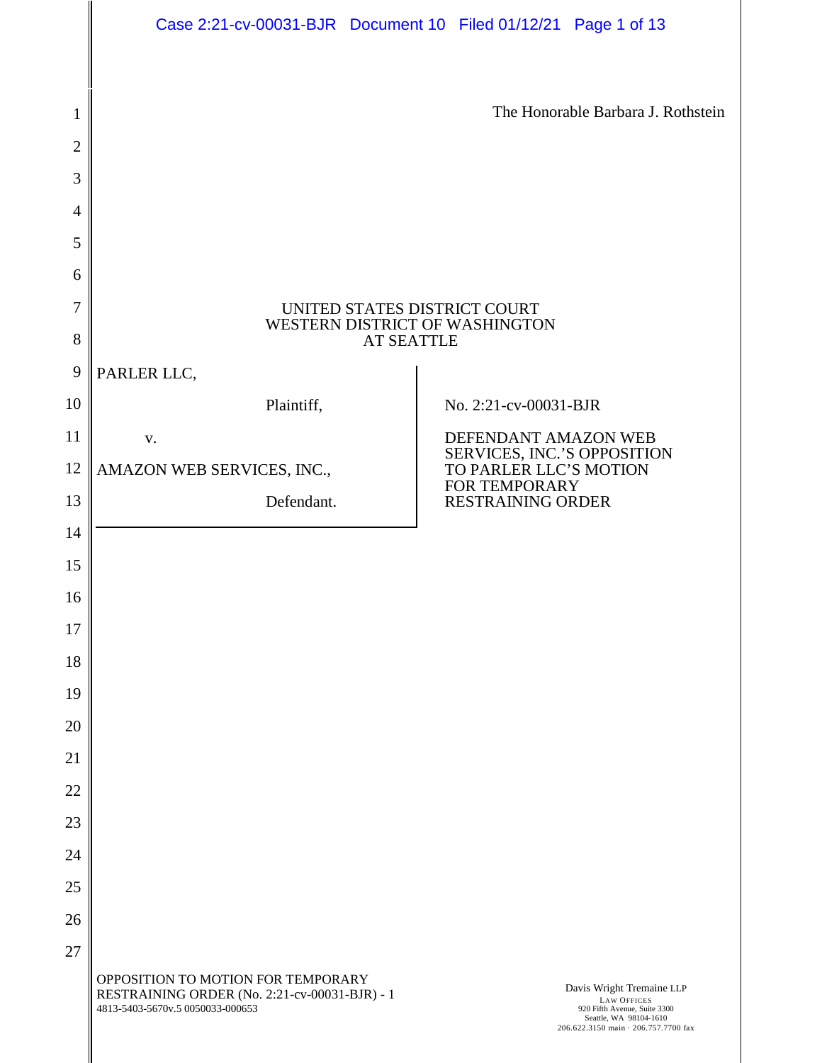|                | Case 2:21-cv-00031-BJR  Document 10  Filed 01/12/21  Page 1 of 13                                                       |                                                                                                                                                   |  |
|----------------|-------------------------------------------------------------------------------------------------------------------------|---------------------------------------------------------------------------------------------------------------------------------------------------|--|
|                |                                                                                                                         |                                                                                                                                                   |  |
| $\mathbf{1}$   |                                                                                                                         | The Honorable Barbara J. Rothstein                                                                                                                |  |
| $\overline{2}$ |                                                                                                                         |                                                                                                                                                   |  |
| 3              |                                                                                                                         |                                                                                                                                                   |  |
| $\overline{4}$ |                                                                                                                         |                                                                                                                                                   |  |
| 5              |                                                                                                                         |                                                                                                                                                   |  |
| 6              |                                                                                                                         |                                                                                                                                                   |  |
| 7              | UNITED STATES DISTRICT COURT                                                                                            |                                                                                                                                                   |  |
| 8              | WESTERN DISTRICT OF WASHINGTON<br><b>AT SEATTLE</b>                                                                     |                                                                                                                                                   |  |
| 9              | PARLER LLC,                                                                                                             |                                                                                                                                                   |  |
| 10             | Plaintiff,                                                                                                              | No. 2:21-cv-00031-BJR                                                                                                                             |  |
| 11             | ${\bf V}$ .                                                                                                             | DEFENDANT AMAZON WEB                                                                                                                              |  |
| 12             | AMAZON WEB SERVICES, INC.,                                                                                              | SERVICES, INC.'S OPPOSITION<br>TO PARLER LLC'S MOTION<br>FOR TEMPORARY                                                                            |  |
| 13             | Defendant.                                                                                                              | <b>RESTRAINING ORDER</b>                                                                                                                          |  |
| 14             |                                                                                                                         |                                                                                                                                                   |  |
| 15             |                                                                                                                         |                                                                                                                                                   |  |
| 16             |                                                                                                                         |                                                                                                                                                   |  |
| 17             |                                                                                                                         |                                                                                                                                                   |  |
| 18             |                                                                                                                         |                                                                                                                                                   |  |
| 19             |                                                                                                                         |                                                                                                                                                   |  |
| 20             |                                                                                                                         |                                                                                                                                                   |  |
| 21             |                                                                                                                         |                                                                                                                                                   |  |
| 22<br>23       |                                                                                                                         |                                                                                                                                                   |  |
| 24             |                                                                                                                         |                                                                                                                                                   |  |
| 25             |                                                                                                                         |                                                                                                                                                   |  |
| 26             |                                                                                                                         |                                                                                                                                                   |  |
| 27             |                                                                                                                         |                                                                                                                                                   |  |
|                | OPPOSITION TO MOTION FOR TEMPORARY<br>RESTRAINING ORDER (No. 2:21-cv-00031-BJR) - 1<br>4813-5403-5670v.5 0050033-000653 | Davis Wright Tremaine LLP<br><b>LAW OFFICES</b><br>920 Fifth Avenue, Suite 3300<br>Seattle, WA 98104-1610<br>206.622.3150 main · 206.757.7700 fax |  |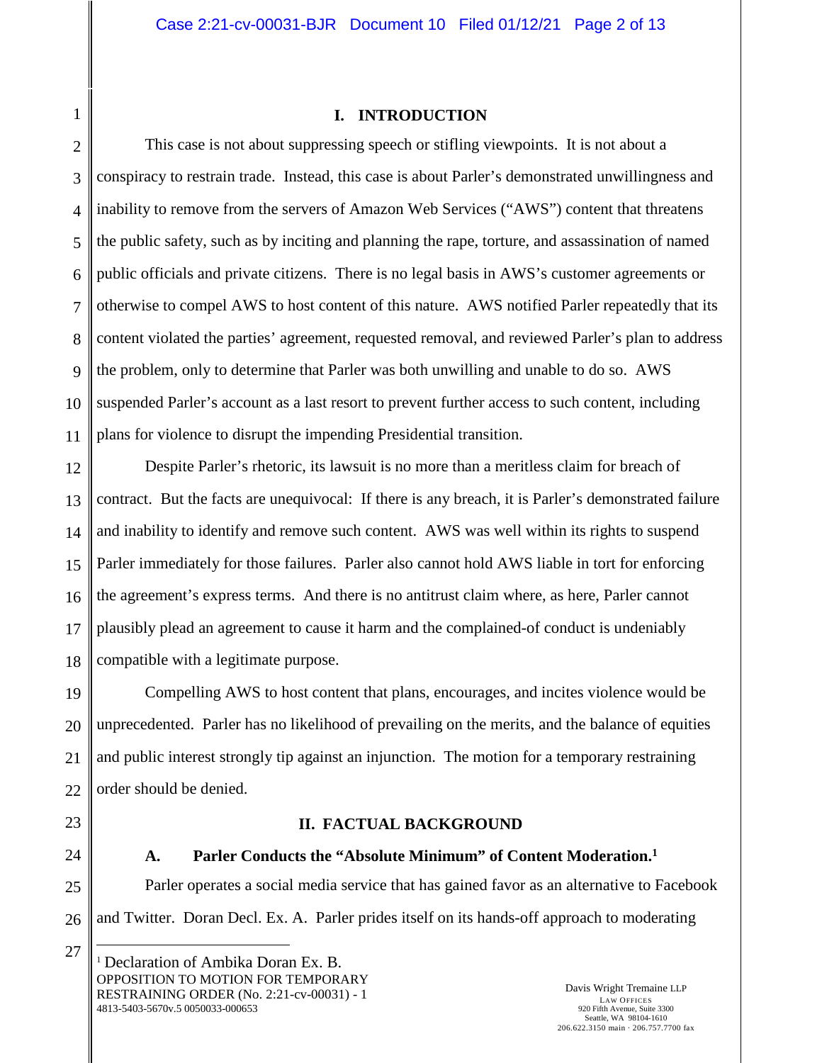### **I. INTRODUCTION**

2 3 4 5 6 7 8 9 10 11 This case is not about suppressing speech or stifling viewpoints. It is not about a conspiracy to restrain trade. Instead, this case is about Parler's demonstrated unwillingness and inability to remove from the servers of Amazon Web Services ("AWS") content that threatens the public safety, such as by inciting and planning the rape, torture, and assassination of named public officials and private citizens. There is no legal basis in AWS's customer agreements or otherwise to compel AWS to host content of this nature. AWS notified Parler repeatedly that its content violated the parties' agreement, requested removal, and reviewed Parler's plan to address the problem, only to determine that Parler was both unwilling and unable to do so. AWS suspended Parler's account as a last resort to prevent further access to such content, including plans for violence to disrupt the impending Presidential transition.

12 Despite Parler's rhetoric, its lawsuit is no more than a meritless claim for breach of contract. But the facts are unequivocal: If there is any breach, it is Parler's demonstrated failure and inability to identify and remove such content. AWS was well within its rights to suspend Parler immediately for those failures. Parler also cannot hold AWS liable in tort for enforcing the agreement's express terms. And there is no antitrust claim where, as here, Parler cannot plausibly plead an agreement to cause it harm and the complained-of conduct is undeniably compatible with a legitimate purpose.

Compelling AWS to host content that plans, encourages, and incites violence would be unprecedented. Parler has no likelihood of prevailing on the merits, and the balance of equities and public interest strongly tip against an injunction. The motion for a temporary restraining order should be denied.

# **II. FACTUAL BACKGROUND**

27

### **A. Parler Conducts the "Absolute Minimum" of Content Moderation.<sup>1</sup>**

Parler operates a social media service that has gained favor as an alternative to Facebook and Twitter. Doran Decl. Ex. A. Parler prides itself on its hands-off approach to moderating

Davis Wright Tremaine LLP LAW OFFICES 920 Fifth Avenue, Suite 3300 Seattle, WA 98104-1610 206.622.3150 main · 206.757.7700 fax

1

OPPOSITION TO MOTION FOR TEMPORARY RESTRAINING ORDER (No. 2:21-cv-00031) - 1 4813-5403-5670v.5 0050033-000653 <sup>1</sup> Declaration of Ambika Doran Ex. B.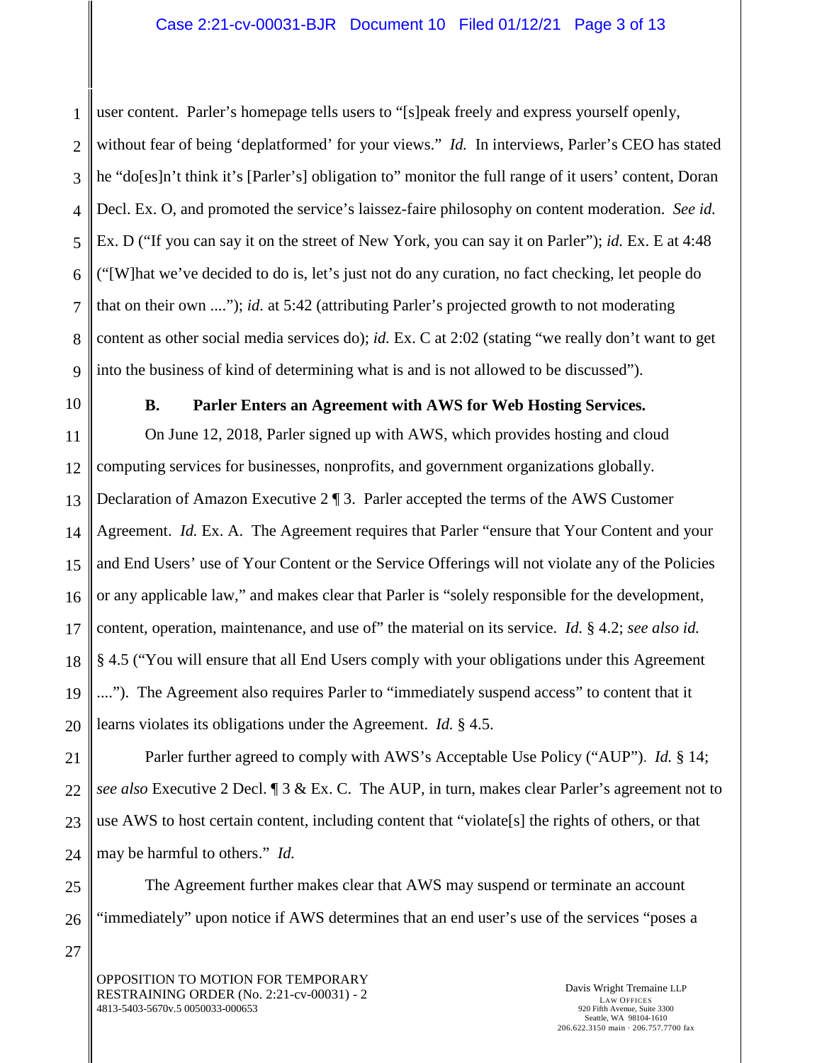1 2 3 4 5 6 7 8 9 user content. Parler's homepage tells users to "[s]peak freely and express yourself openly, without fear of being 'deplatformed' for your views." *Id.* In interviews, Parler's CEO has stated he "do[es]n't think it's [Parler's] obligation to" monitor the full range of it users' content, Doran Decl. Ex. O, and promoted the service's laissez-faire philosophy on content moderation. *See id.* Ex. D ("If you can say it on the street of New York, you can say it on Parler"); *id.* Ex. E at 4:48 ("[W]hat we've decided to do is, let's just not do any curation, no fact checking, let people do that on their own ...."); *id.* at 5:42 (attributing Parler's projected growth to not moderating content as other social media services do); *id.* Ex. C at 2:02 (stating "we really don't want to get into the business of kind of determining what is and is not allowed to be discussed").

10

25

26

27

## **B. Parler Enters an Agreement with AWS for Web Hosting Services.**

11 12 13 14 15 16 17 18 19 20 On June 12, 2018, Parler signed up with AWS, which provides hosting and cloud computing services for businesses, nonprofits, and government organizations globally. Declaration of Amazon Executive 2 ¶ 3. Parler accepted the terms of the AWS Customer Agreement. *Id.* Ex. A. The Agreement requires that Parler "ensure that Your Content and your and End Users' use of Your Content or the Service Offerings will not violate any of the Policies or any applicable law," and makes clear that Parler is "solely responsible for the development, content, operation, maintenance, and use of" the material on its service. *Id.* § 4.2; *see also id.* § 4.5 ("You will ensure that all End Users comply with your obligations under this Agreement ...."). The Agreement also requires Parler to "immediately suspend access" to content that it learns violates its obligations under the Agreement. *Id.* § 4.5.

21 22 23 24 Parler further agreed to comply with AWS's Acceptable Use Policy ("AUP"). *Id.* § 14; *see also* Executive 2 Decl. ¶ 3 & Ex. C. The AUP, in turn, makes clear Parler's agreement not to use AWS to host certain content, including content that "violate[s] the rights of others, or that may be harmful to others." *Id.*

The Agreement further makes clear that AWS may suspend or terminate an account "immediately" upon notice if AWS determines that an end user's use of the services "poses a

OPPOSITION TO MOTION FOR TEMPORARY RESTRAINING ORDER (No. 2:21-cv-00031) - 2 4813-5403-5670v.5 0050033-000653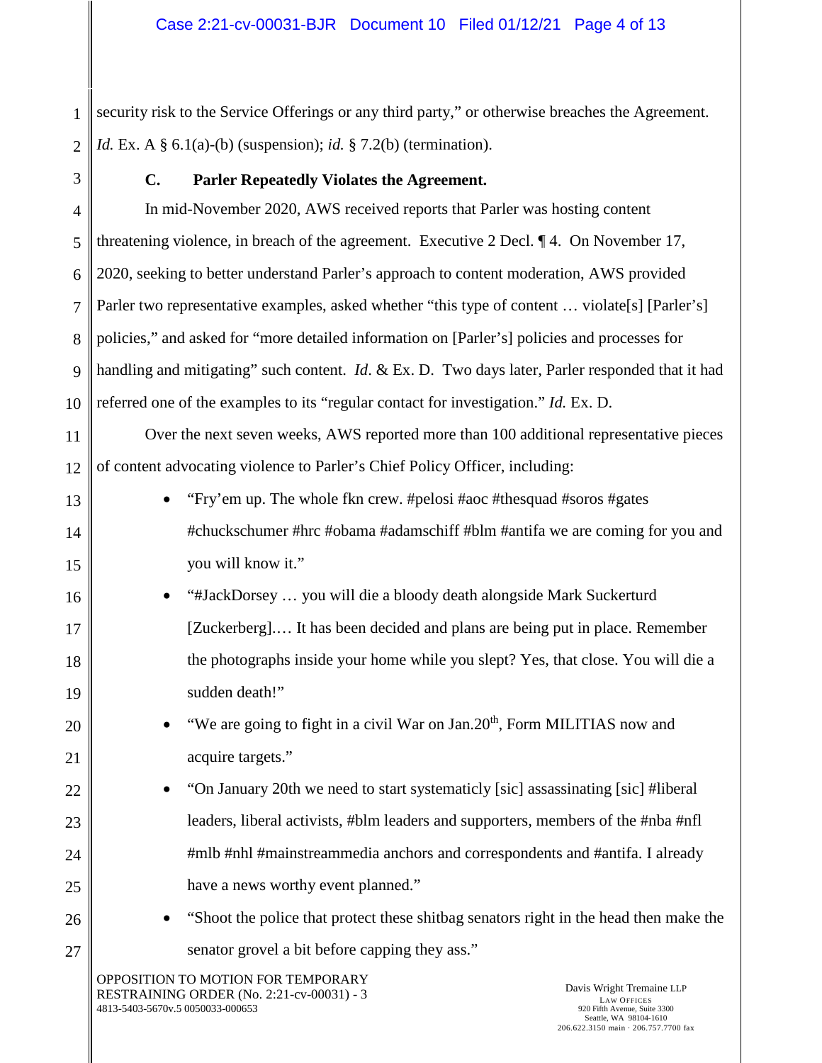1 2 security risk to the Service Offerings or any third party," or otherwise breaches the Agreement. *Id.* Ex. A § 6.1(a)-(b) (suspension); *id.* § 7.2(b) (termination).

3

13

14

15

16

17

18

19

20

21

22

23

24

25

26

27

# **C. Parler Repeatedly Violates the Agreement.**

4 5 6 7 8 9 10 In mid-November 2020, AWS received reports that Parler was hosting content threatening violence, in breach of the agreement. Executive 2 Decl. ¶ 4. On November 17, 2020, seeking to better understand Parler's approach to content moderation, AWS provided Parler two representative examples, asked whether "this type of content ... violate<sup>[s]</sup> [Parler's] policies," and asked for "more detailed information on [Parler's] policies and processes for handling and mitigating" such content. *Id*. & Ex. D. Two days later, Parler responded that it had referred one of the examples to its "regular contact for investigation." *Id.* Ex. D.

11 12 Over the next seven weeks, AWS reported more than 100 additional representative pieces of content advocating violence to Parler's Chief Policy Officer, including:

- "Fry'em up. The whole fkn crew. #pelosi #aoc #thesquad #soros #gates #chuckschumer #hrc #obama #adamschiff #blm #antifa we are coming for you and you will know it."
- "#JackDorsey … you will die a bloody death alongside Mark Suckerturd [Zuckerberg].… It has been decided and plans are being put in place. Remember the photographs inside your home while you slept? Yes, that close. You will die a sudden death!"
	- "We are going to fight in a civil War on  $Jan.20<sup>th</sup>$ , Form MILITIAS now and acquire targets."
		- "On January 20th we need to start systematicly [sic] assassinating [sic] #liberal leaders, liberal activists, #blm leaders and supporters, members of the #nba #nfl #mlb #nhl #mainstreammedia anchors and correspondents and #antifa. I already have a news worthy event planned."
			- "Shoot the police that protect these shitbag senators right in the head then make the senator grovel a bit before capping they ass."

OPPOSITION TO MOTION FOR TEMPORARY RESTRAINING ORDER (No. 2:21-cv-00031) - 3 4813-5403-5670v.5 0050033-000653

Davis Wright Tremaine LLP LAW OFFICES 920 Fifth Avenue, Suite 3300 Seattle, WA 98104-1610 206.622.3150 main · 206.757.7700 fax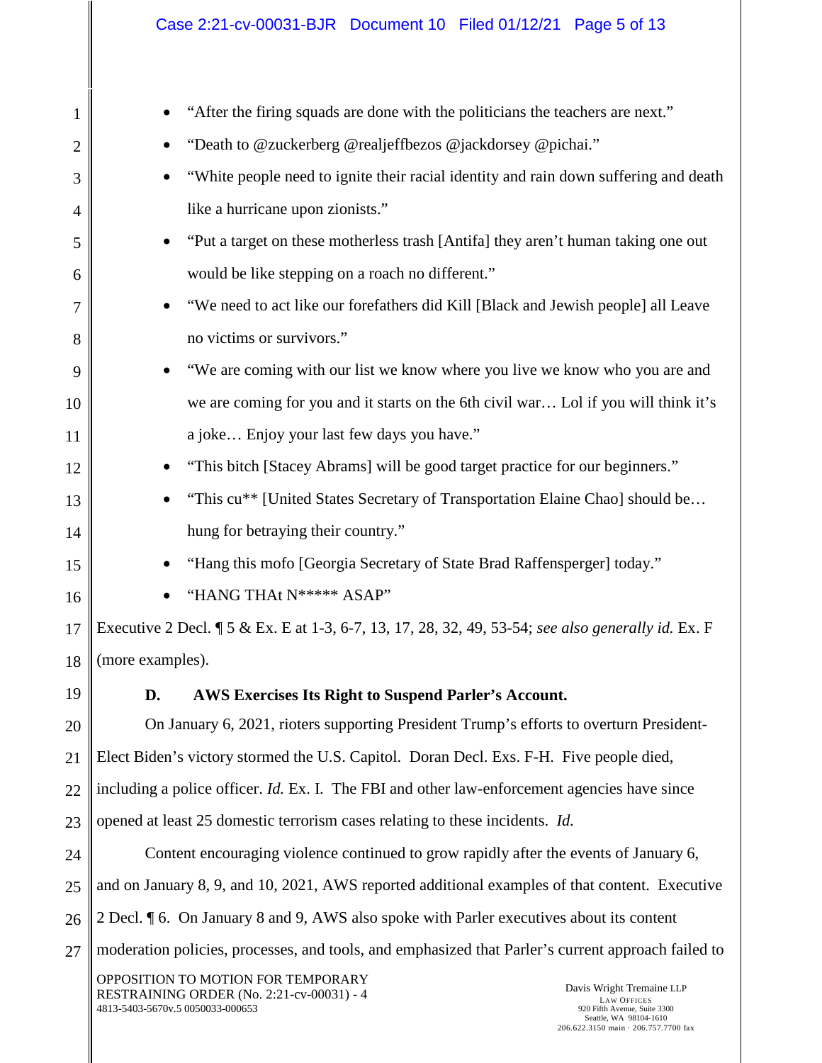| 1              | "After the firing squads are done with the politicians the teachers are next."                                                                                                                                                                                           |  |
|----------------|--------------------------------------------------------------------------------------------------------------------------------------------------------------------------------------------------------------------------------------------------------------------------|--|
| $\overline{2}$ | "Death to @zuckerberg @realjeffbezos @jackdorsey @pichai."                                                                                                                                                                                                               |  |
| 3              | "White people need to ignite their racial identity and rain down suffering and death                                                                                                                                                                                     |  |
| $\overline{4}$ | like a hurricane upon zionists."                                                                                                                                                                                                                                         |  |
| 5              | "Put a target on these motherless trash [Antifa] they aren't human taking one out                                                                                                                                                                                        |  |
| 6              | would be like stepping on a roach no different."                                                                                                                                                                                                                         |  |
| 7              | "We need to act like our forefathers did Kill [Black and Jewish people] all Leave                                                                                                                                                                                        |  |
| 8              | no victims or survivors."                                                                                                                                                                                                                                                |  |
| 9              | "We are coming with our list we know where you live we know who you are and                                                                                                                                                                                              |  |
| 10             | we are coming for you and it starts on the 6th civil war Lol if you will think it's                                                                                                                                                                                      |  |
| 11             | a joke Enjoy your last few days you have."                                                                                                                                                                                                                               |  |
| 12             | "This bitch [Stacey Abrams] will be good target practice for our beginners."                                                                                                                                                                                             |  |
| 13             | "This cu** [United States Secretary of Transportation Elaine Chao] should be                                                                                                                                                                                             |  |
| 14             | hung for betraying their country."                                                                                                                                                                                                                                       |  |
| 15             | "Hang this mofo [Georgia Secretary of State Brad Raffensperger] today."                                                                                                                                                                                                  |  |
| 16             | "HANG THAt N***** ASAP"                                                                                                                                                                                                                                                  |  |
| 17             | Executive 2 Decl. ¶ 5 & Ex. E at 1-3, 6-7, 13, 17, 28, 32, 49, 53-54; see also generally id. Ex. F                                                                                                                                                                       |  |
| 18             | (more examples).                                                                                                                                                                                                                                                         |  |
| 19             | AWS Exercises Its Right to Suspend Parler's Account.<br>D.                                                                                                                                                                                                               |  |
| 20             | On January 6, 2021, rioters supporting President Trump's efforts to overturn President-                                                                                                                                                                                  |  |
| 21             | Elect Biden's victory stormed the U.S. Capitol. Doran Decl. Exs. F-H. Five people died,                                                                                                                                                                                  |  |
| 22             | including a police officer. <i>Id.</i> Ex. I. The FBI and other law-enforcement agencies have since                                                                                                                                                                      |  |
| 23             | opened at least 25 domestic terrorism cases relating to these incidents. <i>Id.</i>                                                                                                                                                                                      |  |
| 24             | Content encouraging violence continued to grow rapidly after the events of January 6,                                                                                                                                                                                    |  |
| 25             | and on January 8, 9, and 10, 2021, AWS reported additional examples of that content. Executive                                                                                                                                                                           |  |
| 26             | 2 Decl. ¶ 6. On January 8 and 9, AWS also spoke with Parler executives about its content                                                                                                                                                                                 |  |
| 27             | moderation policies, processes, and tools, and emphasized that Parler's current approach failed to                                                                                                                                                                       |  |
|                | OPPOSITION TO MOTION FOR TEMPORARY<br>Davis Wright Tremaine LLP<br>RESTRAINING ORDER (No. 2:21-cv-00031) - 4<br><b>LAW OFFICES</b><br>4813-5403-5670v.5 0050033-000653<br>920 Fifth Avenue, Suite 3300<br>Seattle, WA 98104-1610<br>206.622.3150 main · 206.757.7700 fax |  |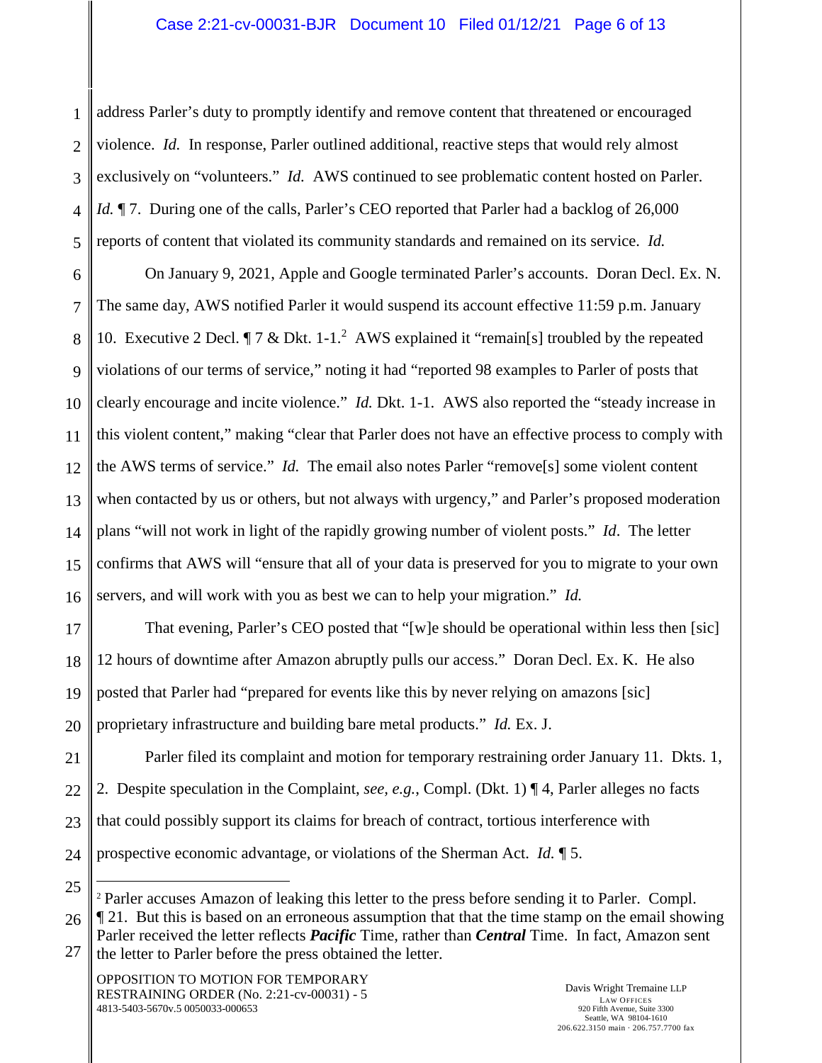1 2 3 4 5 address Parler's duty to promptly identify and remove content that threatened or encouraged violence. *Id.* In response, Parler outlined additional, reactive steps that would rely almost exclusively on "volunteers." *Id.* AWS continued to see problematic content hosted on Parler. *Id.*  $\parallel$  7. During one of the calls, Parler's CEO reported that Parler had a backlog of 26,000 reports of content that violated its community standards and remained on its service. *Id.*

6 7 8 9 10 11 12 13 14 15 16 On January 9, 2021, Apple and Google terminated Parler's accounts. Doran Decl. Ex. N. The same day, AWS notified Parler it would suspend its account effective 11:59 p.m. January 10. Executive 2 Decl.  $\P$  7 & Dkt. 1-1.<sup>2</sup> AWS explained it "remain[s] troubled by the repeated violations of our terms of service," noting it had "reported 98 examples to Parler of posts that clearly encourage and incite violence." *Id.* Dkt. 1-1. AWS also reported the "steady increase in this violent content," making "clear that Parler does not have an effective process to comply with the AWS terms of service." *Id.* The email also notes Parler "remove[s] some violent content when contacted by us or others, but not always with urgency," and Parler's proposed moderation plans "will not work in light of the rapidly growing number of violent posts." *Id*. The letter confirms that AWS will "ensure that all of your data is preserved for you to migrate to your own servers, and will work with you as best we can to help your migration." *Id.*

17 18 19 20 That evening, Parler's CEO posted that "[w]e should be operational within less then [sic] 12 hours of downtime after Amazon abruptly pulls our access." Doran Decl. Ex. K. He also posted that Parler had "prepared for events like this by never relying on amazons [sic] proprietary infrastructure and building bare metal products." *Id.* Ex. J.

21 22 23 24 Parler filed its complaint and motion for temporary restraining order January 11. Dkts. 1, 2. Despite speculation in the Complaint, *see, e.g.*, Compl. (Dkt. 1) ¶ 4, Parler alleges no facts that could possibly support its claims for breach of contract, tortious interference with prospective economic advantage, or violations of the Sherman Act. *Id.* ¶ 5.

25

<sup>2</sup> Parler accuses Amazon of leaking this letter to the press before sending it to Parler. Compl.

<sup>26</sup> 27 ¶ 21. But this is based on an erroneous assumption that that the time stamp on the email showing Parler received the letter reflects *Pacific* Time, rather than *Central* Time. In fact, Amazon sent the letter to Parler before the press obtained the letter.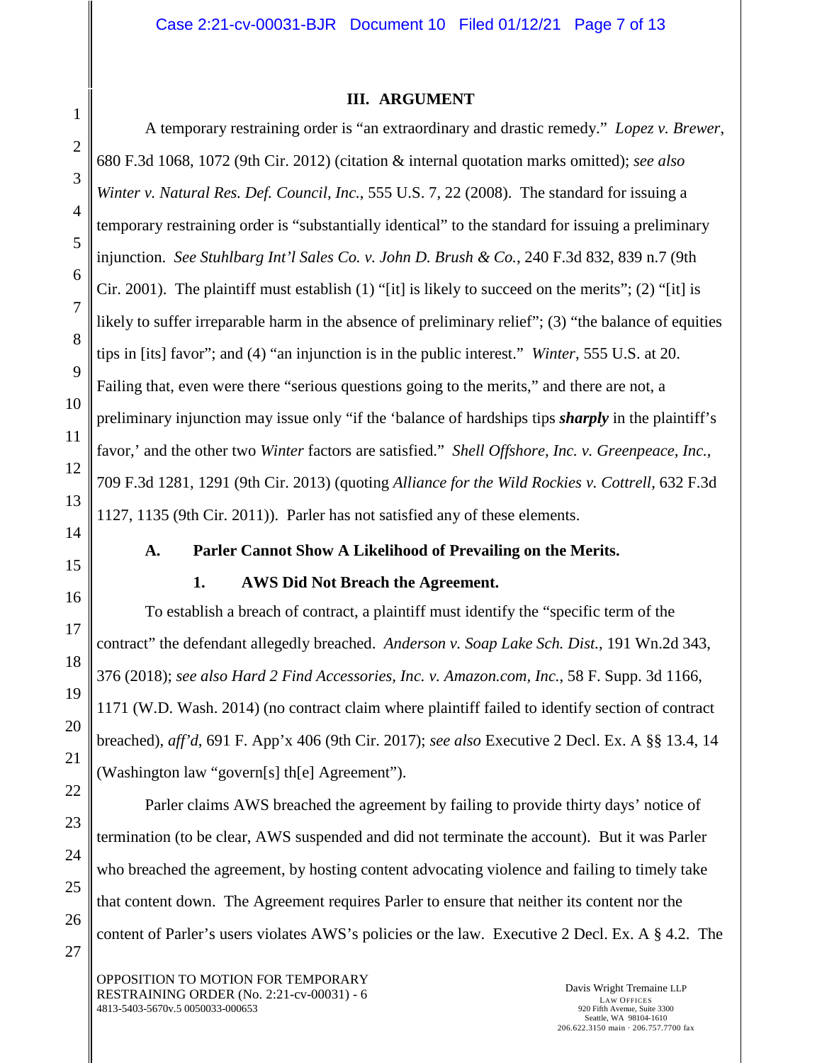### **III. ARGUMENT**

A temporary restraining order is "an extraordinary and drastic remedy." *Lopez v. Brewer*, 680 F.3d 1068, 1072 (9th Cir. 2012) (citation & internal quotation marks omitted); *see also Winter v. Natural Res. Def. Council, Inc.*, 555 U.S. 7, 22 (2008). The standard for issuing a temporary restraining order is "substantially identical" to the standard for issuing a preliminary injunction. *See Stuhlbarg Int'l Sales Co. v. John D. Brush & Co.*, 240 F.3d 832, 839 n.7 (9th Cir. 2001). The plaintiff must establish  $(1)$  "[it] is likely to succeed on the merits";  $(2)$  "[it] is likely to suffer irreparable harm in the absence of preliminary relief"; (3) "the balance of equities tips in [its] favor"; and (4) "an injunction is in the public interest." *Winter*, 555 U.S. at 20. Failing that, even were there "serious questions going to the merits," and there are not, a preliminary injunction may issue only "if the 'balance of hardships tips *sharply* in the plaintiff's favor,' and the other two *Winter* factors are satisfied." *Shell Offshore, Inc. v. Greenpeace, Inc.*, 709 F.3d 1281, 1291 (9th Cir. 2013) (quoting *Alliance for the Wild Rockies v. Cottrell*, 632 F.3d 1127, 1135 (9th Cir. 2011)). Parler has not satisfied any of these elements.

### **A. Parler Cannot Show A Likelihood of Prevailing on the Merits.**

### **1. AWS Did Not Breach the Agreement.**

To establish a breach of contract, a plaintiff must identify the "specific term of the contract" the defendant allegedly breached. *Anderson v. Soap Lake Sch. Dist.*, 191 Wn.2d 343, 376 (2018); *see also Hard 2 Find Accessories, Inc. v. Amazon.com, Inc.*, 58 F. Supp. 3d 1166, 1171 (W.D. Wash. 2014) (no contract claim where plaintiff failed to identify section of contract breached), *aff'd*, 691 F. App'x 406 (9th Cir. 2017); *see also* Executive 2 Decl. Ex. A §§ 13.4, 14 (Washington law "govern[s] th[e] Agreement").

Parler claims AWS breached the agreement by failing to provide thirty days' notice of termination (to be clear, AWS suspended and did not terminate the account). But it was Parler who breached the agreement, by hosting content advocating violence and failing to timely take that content down. The Agreement requires Parler to ensure that neither its content nor the content of Parler's users violates AWS's policies or the law. Executive 2 Decl. Ex. A § 4.2. The

OPPOSITION TO MOTION FOR TEMPORARY RESTRAINING ORDER (No. 2:21-cv-00031) - 6 4813-5403-5670v.5 0050033-000653

Davis Wright Tremaine LLP LAW OFFICES 920 Fifth Avenue, Suite 3300 Seattle, WA 98104-1610 206.622.3150 main · 206.757.7700 fax

1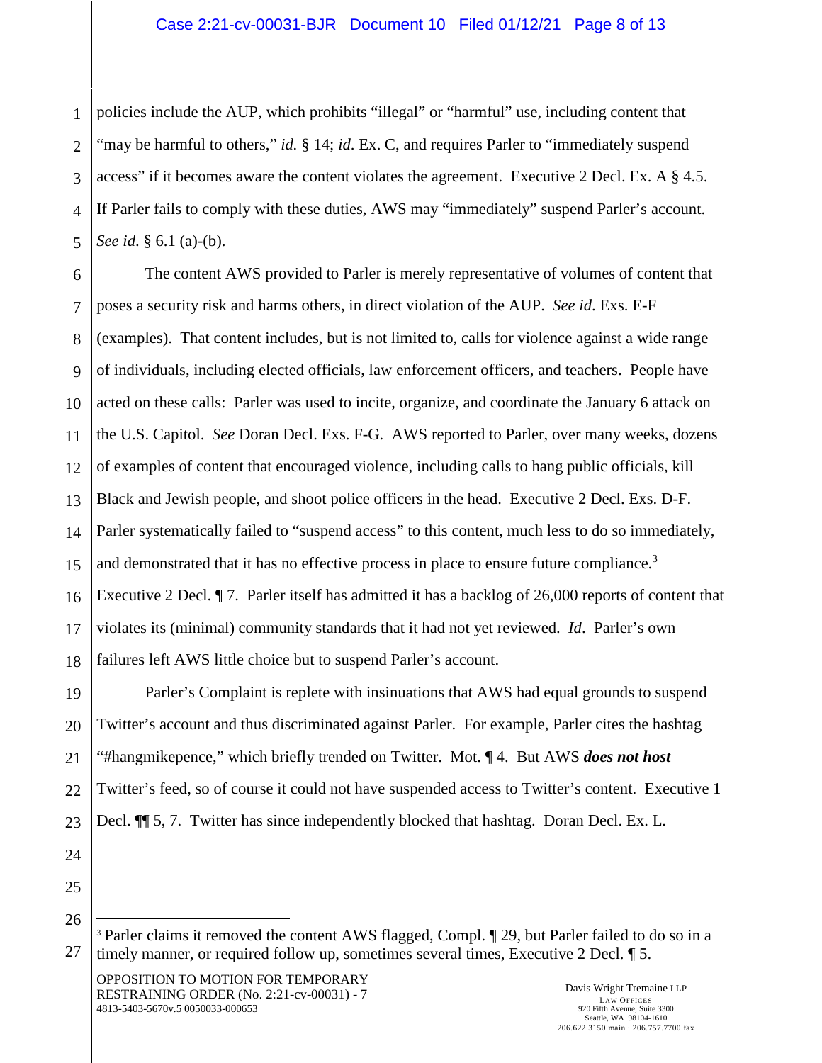### Case 2:21-cv-00031-BJR Document 10 Filed 01/12/21 Page 8 of 13

1 2 3 4 5 policies include the AUP, which prohibits "illegal" or "harmful" use, including content that "may be harmful to others," *id.* § 14; *id*. Ex. C, and requires Parler to "immediately suspend access" if it becomes aware the content violates the agreement. Executive 2 Decl. Ex. A § 4.5. If Parler fails to comply with these duties, AWS may "immediately" suspend Parler's account. *See id*. § 6.1 (a)-(b).

6 7 8 9 10 11 12 13 14 15 16 17 18 The content AWS provided to Parler is merely representative of volumes of content that poses a security risk and harms others, in direct violation of the AUP. *See id*. Exs. E-F (examples). That content includes, but is not limited to, calls for violence against a wide range of individuals, including elected officials, law enforcement officers, and teachers. People have acted on these calls: Parler was used to incite, organize, and coordinate the January 6 attack on the U.S. Capitol. *See* Doran Decl. Exs. F-G. AWS reported to Parler, over many weeks, dozens of examples of content that encouraged violence, including calls to hang public officials, kill Black and Jewish people, and shoot police officers in the head. Executive 2 Decl. Exs. D-F. Parler systematically failed to "suspend access" to this content, much less to do so immediately, and demonstrated that it has no effective process in place to ensure future compliance.<sup>3</sup> Executive 2 Decl. *¶* 7. Parler itself has admitted it has a backlog of 26,000 reports of content that violates its (minimal) community standards that it had not yet reviewed. *Id*. Parler's own failures left AWS little choice but to suspend Parler's account.

19 20 21 22 23 Parler's Complaint is replete with insinuations that AWS had equal grounds to suspend Twitter's account and thus discriminated against Parler. For example, Parler cites the hashtag "#hangmikepence," which briefly trended on Twitter. Mot. ¶ 4. But AWS *does not host*  Twitter's feed, so of course it could not have suspended access to Twitter's content. Executive 1 Decl. ¶¶ 5, 7. Twitter has since independently blocked that hashtag. Doran Decl. Ex. L.

24 25

26

OPPOSITION TO MOTION FOR TEMPORARY RESTRAINING ORDER (No. 2:21-cv-00031) - 7 4813-5403-5670v.5 0050033-000653

<sup>27</sup> <sup>3</sup> Parler claims it removed the content AWS flagged, Compl. [29, but Parler failed to do so in a timely manner, or required follow up, sometimes several times, Executive 2 Decl. ¶ 5.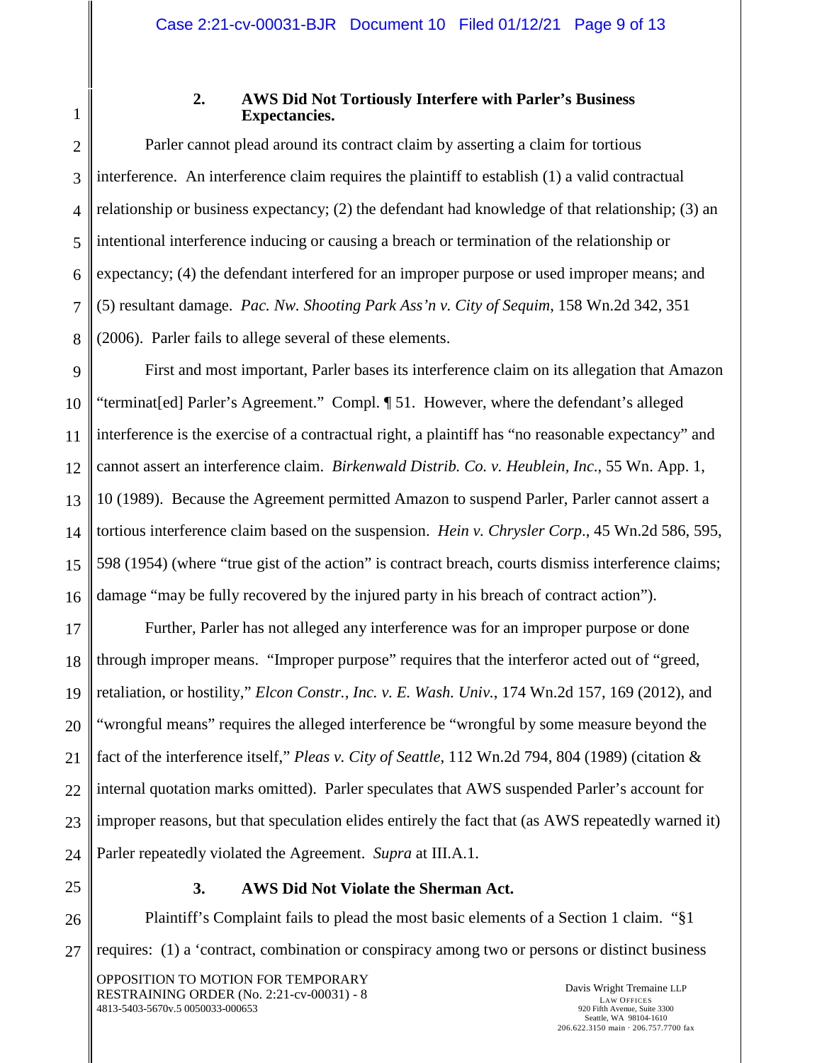1

3

### **2. AWS Did Not Tortiously Interfere with Parler's Business Expectancies.**

2 4 5 6 7 8 Parler cannot plead around its contract claim by asserting a claim for tortious interference. An interference claim requires the plaintiff to establish (1) a valid contractual relationship or business expectancy; (2) the defendant had knowledge of that relationship; (3) an intentional interference inducing or causing a breach or termination of the relationship or expectancy; (4) the defendant interfered for an improper purpose or used improper means; and (5) resultant damage. *Pac. Nw. Shooting Park Ass'n v. City of Sequim*, 158 Wn.2d 342, 351 (2006). Parler fails to allege several of these elements.

9 10 11 12 13 14 15 16 First and most important, Parler bases its interference claim on its allegation that Amazon "terminat[ed] Parler's Agreement." Compl. ¶ 51. However, where the defendant's alleged interference is the exercise of a contractual right, a plaintiff has "no reasonable expectancy" and cannot assert an interference claim. *Birkenwald Distrib. Co. v. Heublein, Inc*., 55 Wn. App. 1, 10 (1989). Because the Agreement permitted Amazon to suspend Parler, Parler cannot assert a tortious interference claim based on the suspension. *Hein v. Chrysler Corp*., 45 Wn.2d 586, 595, 598 (1954) (where "true gist of the action" is contract breach, courts dismiss interference claims; damage "may be fully recovered by the injured party in his breach of contract action").

17 18 19 20 21 22 23 24 Further, Parler has not alleged any interference was for an improper purpose or done through improper means. "Improper purpose" requires that the interferor acted out of "greed, retaliation, or hostility," *Elcon Constr., Inc. v. E. Wash. Univ.*, 174 Wn.2d 157, 169 (2012), and "wrongful means" requires the alleged interference be "wrongful by some measure beyond the fact of the interference itself," *Pleas v. City of Seattle*, 112 Wn.2d 794, 804 (1989) (citation & internal quotation marks omitted). Parler speculates that AWS suspended Parler's account for improper reasons, but that speculation elides entirely the fact that (as AWS repeatedly warned it) Parler repeatedly violated the Agreement. *Supra* at III.A.1.

25

# **3. AWS Did Not Violate the Sherman Act.**

26 27 Plaintiff's Complaint fails to plead the most basic elements of a Section 1 claim. "§1 requires: (1) a 'contract, combination or conspiracy among two or persons or distinct business

OPPOSITION TO MOTION FOR TEMPORARY RESTRAINING ORDER (No. 2:21-cv-00031) - 8 4813-5403-5670v.5 0050033-000653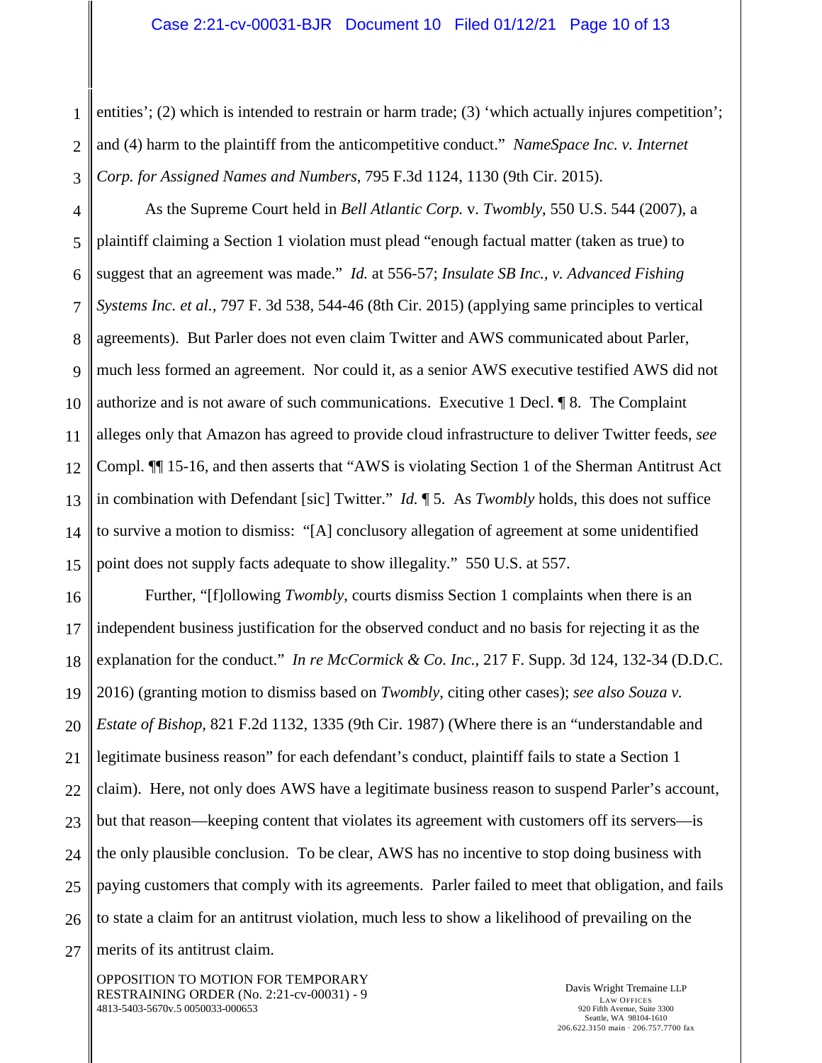1 2 3 entities'; (2) which is intended to restrain or harm trade; (3) 'which actually injures competition'; and (4) harm to the plaintiff from the anticompetitive conduct." *NameSpace Inc. v. Internet Corp. for Assigned Names and Numbers*, 795 F.3d 1124, 1130 (9th Cir. 2015).

4 5 6 7 8 9 10 11 12 13 14 15 As the Supreme Court held in *Bell Atlantic Corp.* v. *Twombly*, 550 U.S. 544 (2007), a plaintiff claiming a Section 1 violation must plead "enough factual matter (taken as true) to suggest that an agreement was made." *Id.* at 556-57; *Insulate SB Inc., v. Advanced Fishing Systems Inc. et al.,* 797 F. 3d 538, 544-46 (8th Cir. 2015) (applying same principles to vertical agreements). But Parler does not even claim Twitter and AWS communicated about Parler, much less formed an agreement. Nor could it, as a senior AWS executive testified AWS did not authorize and is not aware of such communications. Executive 1 Decl. ¶ 8. The Complaint alleges only that Amazon has agreed to provide cloud infrastructure to deliver Twitter feeds, *see*  Compl. ¶¶ 15-16, and then asserts that "AWS is violating Section 1 of the Sherman Antitrust Act in combination with Defendant [sic] Twitter." *Id.* ¶ 5. As *Twombly* holds, this does not suffice to survive a motion to dismiss: "[A] conclusory allegation of agreement at some unidentified point does not supply facts adequate to show illegality." 550 U.S. at 557.

16 17 18 19 20 21 22 23 24 25 26 27 Further, "[f]ollowing *Twombly*, courts dismiss Section 1 complaints when there is an independent business justification for the observed conduct and no basis for rejecting it as the explanation for the conduct." *In re McCormick & Co. Inc.*, 217 F. Supp. 3d 124, 132-34 (D.D.C. 2016) (granting motion to dismiss based on *Twombly*, citing other cases); *see also Souza v. Estate of Bishop*, 821 F.2d 1132, 1335 (9th Cir. 1987) (Where there is an "understandable and legitimate business reason" for each defendant's conduct, plaintiff fails to state a Section 1 claim). Here, not only does AWS have a legitimate business reason to suspend Parler's account, but that reason—keeping content that violates its agreement with customers off its servers—is the only plausible conclusion. To be clear, AWS has no incentive to stop doing business with paying customers that comply with its agreements. Parler failed to meet that obligation, and fails to state a claim for an antitrust violation, much less to show a likelihood of prevailing on the merits of its antitrust claim.

OPPOSITION TO MOTION FOR TEMPORARY RESTRAINING ORDER (No. 2:21-cv-00031) - 9 4813-5403-5670v.5 0050033-000653

Davis Wright Tremaine LLP LAW OFFICES 920 Fifth Avenue, Suite 3300 Seattle, WA 98104-1610 206.622.3150 main · 206.757.7700 fax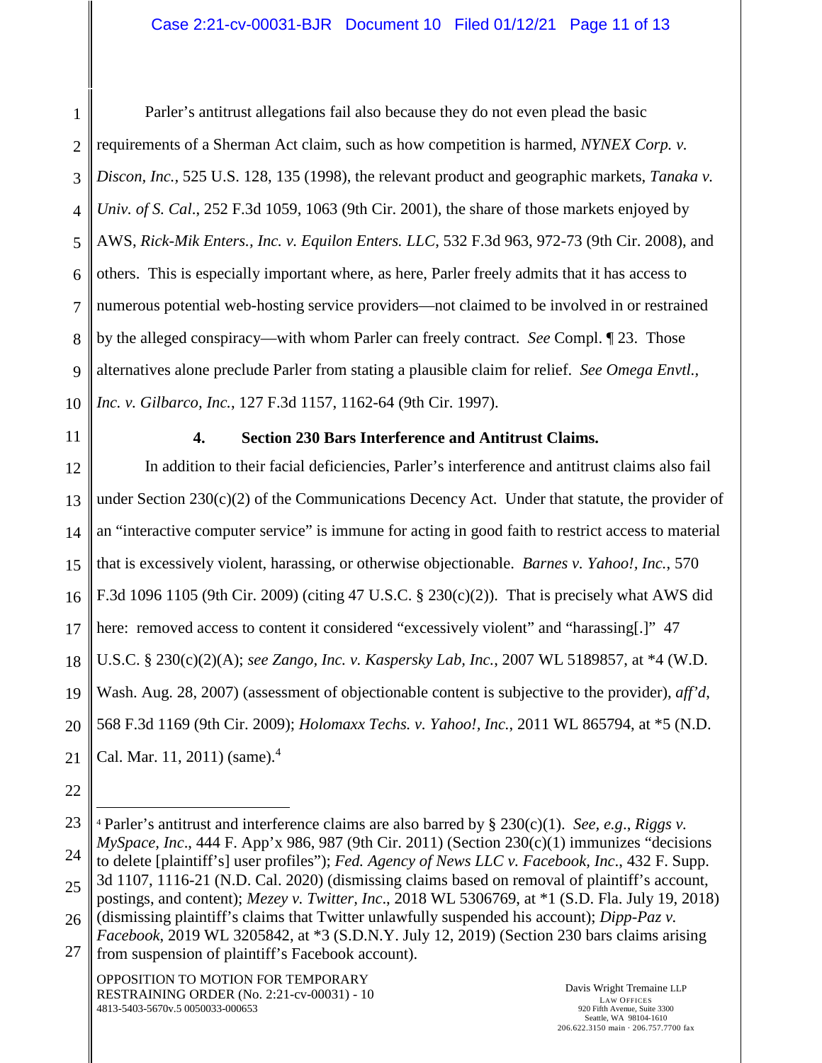1 2 3 4 5 6 7 8 9 10 Parler's antitrust allegations fail also because they do not even plead the basic requirements of a Sherman Act claim, such as how competition is harmed, *NYNEX Corp. v. Discon, Inc.,* 525 U.S. 128, 135 (1998), the relevant product and geographic markets, *Tanaka v. Univ. of S. Cal*., 252 F.3d 1059, 1063 (9th Cir. 2001), the share of those markets enjoyed by AWS, *Rick-Mik Enters., Inc. v. Equilon Enters. LLC*, 532 F.3d 963, 972-73 (9th Cir. 2008), and others. This is especially important where, as here, Parler freely admits that it has access to numerous potential web-hosting service providers—not claimed to be involved in or restrained by the alleged conspiracy—with whom Parler can freely contract. *See* Compl. ¶ 23. Those alternatives alone preclude Parler from stating a plausible claim for relief. *See Omega Envtl., Inc. v. Gilbarco, Inc.*, 127 F.3d 1157, 1162-64 (9th Cir. 1997).

11

# **4. Section 230 Bars Interference and Antitrust Claims.**

12 13 14 15 16 17 18 19 20 21 In addition to their facial deficiencies, Parler's interference and antitrust claims also fail under Section  $230(c)(2)$  of the Communications Decency Act. Under that statute, the provider of an "interactive computer service" is immune for acting in good faith to restrict access to material that is excessively violent, harassing, or otherwise objectionable. *Barnes v. Yahoo!, Inc.*, 570 F.3d 1096 1105 (9th Cir. 2009) (citing 47 U.S.C. § 230(c)(2)). That is precisely what AWS did here: removed access to content it considered "excessively violent" and "harassing.]" 47 U.S.C. § 230(c)(2)(A); *see Zango, Inc. v. Kaspersky Lab, Inc.*, 2007 WL 5189857, at \*4 (W.D. Wash. Aug. 28, 2007) (assessment of objectionable content is subjective to the provider), *aff'd*, 568 F.3d 1169 (9th Cir. 2009); *Holomaxx Techs. v. Yahoo!, Inc.*, 2011 WL 865794, at \*5 (N.D. Cal. Mar. 11, 2011) (same). $^{4}$ 

22

OPPOSITION TO MOTION FOR TEMPORARY RESTRAINING ORDER (No. 2:21-cv-00031) - 10 4813-5403-5670v.5 0050033-000653

<sup>23</sup> 24 25 <sup>4</sup> Parler's antitrust and interference claims are also barred by § 230(c)(1). *See, e.g*., *Riggs v. MySpace, Inc*., 444 F. App'x 986, 987 (9th Cir. 2011) (Section 230(c)(1) immunizes "decisions to delete [plaintiff's] user profiles"); *Fed. Agency of News LLC v. Facebook, Inc*., 432 F. Supp. 3d 1107, 1116-21 (N.D. Cal. 2020) (dismissing claims based on removal of plaintiff's account, postings, and content); *Mezey v. Twitter, Inc*., 2018 WL 5306769, at \*1 (S.D. Fla. July 19, 2018)

<sup>26</sup> (dismissing plaintiff's claims that Twitter unlawfully suspended his account); *Dipp-Paz v.* 

<sup>27</sup> *Facebook*, 2019 WL 3205842, at \*3 (S.D.N.Y. July 12, 2019) (Section 230 bars claims arising from suspension of plaintiff's Facebook account).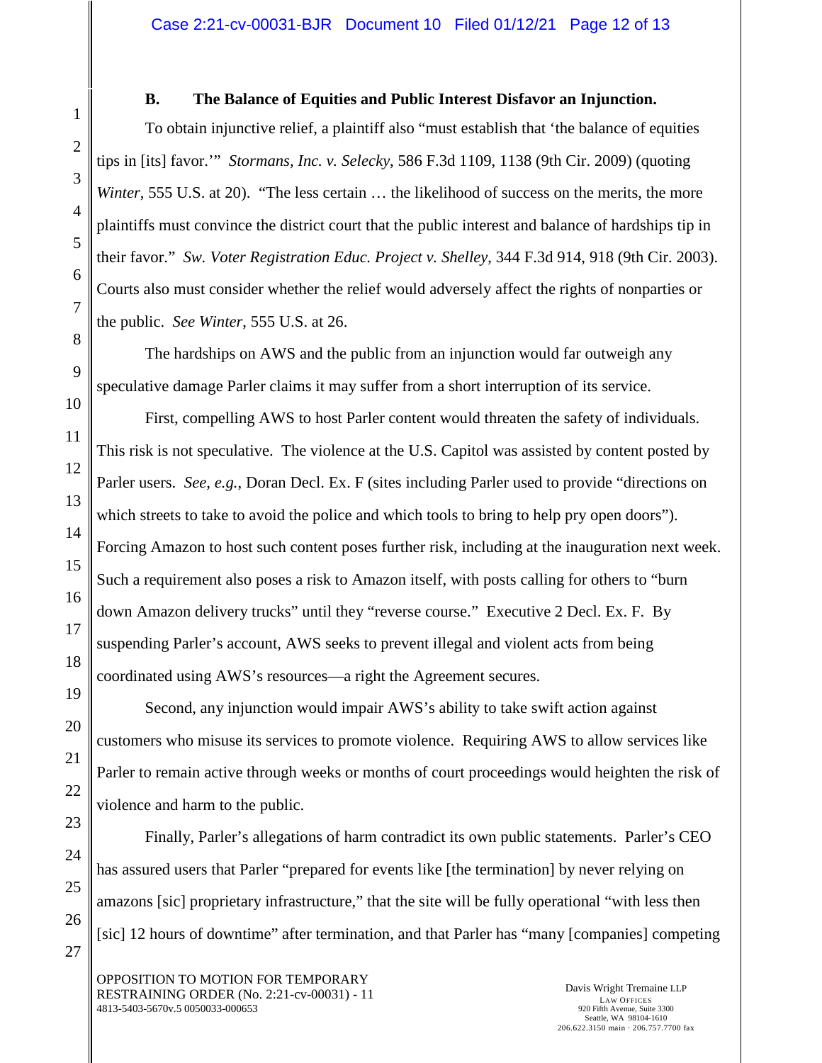## **B. The Balance of Equities and Public Interest Disfavor an Injunction.**

To obtain injunctive relief, a plaintiff also "must establish that 'the balance of equities tips in [its] favor.'" *Stormans, Inc. v. Selecky*, 586 F.3d 1109, 1138 (9th Cir. 2009) (quoting *Winter*, 555 U.S. at 20). "The less certain ... the likelihood of success on the merits, the more plaintiffs must convince the district court that the public interest and balance of hardships tip in their favor." *Sw. Voter Registration Educ. Project v. Shelley*, 344 F.3d 914, 918 (9th Cir. 2003). Courts also must consider whether the relief would adversely affect the rights of nonparties or the public. *See Winter*, 555 U.S. at 26.

The hardships on AWS and the public from an injunction would far outweigh any speculative damage Parler claims it may suffer from a short interruption of its service.

First, compelling AWS to host Parler content would threaten the safety of individuals. This risk is not speculative. The violence at the U.S. Capitol was assisted by content posted by Parler users. *See, e.g.*, Doran Decl. Ex. F (sites including Parler used to provide "directions on which streets to take to avoid the police and which tools to bring to help pry open doors"). Forcing Amazon to host such content poses further risk, including at the inauguration next week. Such a requirement also poses a risk to Amazon itself, with posts calling for others to "burn down Amazon delivery trucks" until they "reverse course." Executive 2 Decl. Ex. F. By suspending Parler's account, AWS seeks to prevent illegal and violent acts from being coordinated using AWS's resources—a right the Agreement secures.

Second, any injunction would impair AWS's ability to take swift action against customers who misuse its services to promote violence. Requiring AWS to allow services like Parler to remain active through weeks or months of court proceedings would heighten the risk of violence and harm to the public.

Finally, Parler's allegations of harm contradict its own public statements. Parler's CEO has assured users that Parler "prepared for events like [the termination] by never relying on amazons [sic] proprietary infrastructure," that the site will be fully operational "with less then [sic] 12 hours of downtime" after termination, and that Parler has "many [companies] competing

OPPOSITION TO MOTION FOR TEMPORARY RESTRAINING ORDER (No. 2:21-cv-00031) - 11 4813-5403-5670v.5 0050033-000653

Davis Wright Tremaine LLP LAW OFFICES 920 Fifth Avenue, Suite 3300 Seattle, WA 98104-1610 206.622.3150 main · 206.757.7700 fax